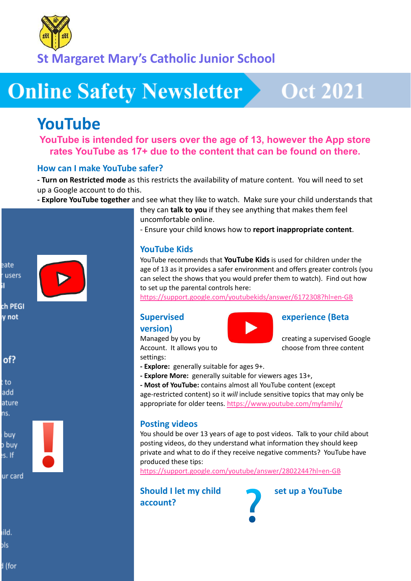

**St Margaret Mary's Catholic Junior School**

# **Online Safety Newsletter**

# **Oct 2021**

# **YouTube**

**YouTube is intended for users over the age of 13, however the App store rates YouTube as 17+ due to the content that can be found on there.**

#### **How can I make YouTube safer?**

**- Turn on Restricted mode** as this restricts the availability of mature content. You will need to set up a Google account to do this.

**- Explore YouTube together** and see what they like to watch. Make sure your child understands that



ch PEGI y not



to add ature ns.



ur card

ild. bls

d (for

they can **talk to you** if they see anything that makes them feel uncomfortable online.

- Ensure your child knows how to **report inappropriate content**.

### **YouTube Kids**

YouTube recommends that **YouTube Kids** is used for children under the age of 13 as it provides a safer environment and offers greater controls (you can select the shows that you would prefer them to watch). Find out how to set up the parental controls here:

<https://support.google.com/youtubekids/answer/6172308?hl=en-GB>

#### **version)**

settings:

#### **Supervised experience (Beta**

Managed by you by creating a supervised Google Account. It allows you to choose from three content

- **- Explore:** generally suitable for ages 9+.
- **- Explore More:** generally suitable for viewers ages 13+,
- **- Most of YouTube:** contains almost all YouTube content (except

age-restricted content) so it *will* include sensitive topics that may only be appropriate for older teens. <https://www.youtube.com/myfamily/>

#### **Posting videos**

You should be over 13 years of age to post videos. Talk to your child about posting videos, do they understand what information they should keep private and what to do if they receive negative comments? YouTube have produced these tips:

<https://support.google.com/youtube/answer/2802244?hl=en-GB>

**Should I let my child set up a YouTube account?**

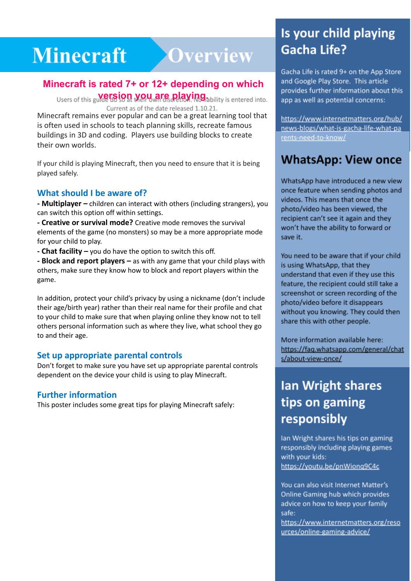### Vimeeratt - Xiverview i  $\frac{1}{\sqrt{2\pi}}$

## **Minecraft is rated 7+ or 12+ depending on which**

**version you are playing.** Current as of the date released 1.10.21.

Minecraft remains ever popular and can be a great learning tool that is often used in schools to teach planning skills, recreate famous buildings in 3D and coding. Players use building blocks to create their own worlds.

If your child is playing Minecraft, then you need to ensure that it is being played safely.

#### **What should I be aware of?**

**- Multiplayer –** children can interact with others (including strangers), you can switch this option off within settings.

**- Creative or survival mode?** Creative mode removes the survival elements of the game (no monsters) so may be a more appropriate mode for your child to play.

**- Chat facility –** you do have the option to switch this off.

**- Block and report players –** as with any game that your child plays with others, make sure they know how to block and report players within the game.

In addition, protect your child's privacy by using a nickname (don't include their age/birth year) rather than their real name for their profile and chat to your child to make sure that when playing online they know not to tell others personal information such as where they live, what school they go to and their age.

#### **Set up appropriate parental controls**

Don't forget to make sure you have set up appropriate parental controls dependent on the device your child is using to play Minecraft.

#### **Further information**

This poster includes some great tips for playing Minecraft safely:

# Is your child playing Gacha Life?

and Google Play Store. This article provides further information about this app as well as potential concerns:

https://www.internetmatters.org/hub/ news-blogs/what-is-gacha-life-what-pa rents-need-to-know/

## **WhatsApp: View once**

WhatsApp have introduced a new view once feature when sending photos and videos. This means that once the photo/video has been viewed, the recipient can't see it again and they won't have the ability to forward or save it.

You need to be aware that if your child is using WhatsApp, that they understand that even if they use this feature, the recipient could still take a screenshot or screen recording of the photo/video before it disappears without you knowing. They could then share this with other people.

More information available here: https://faq.whatsapp.com/general/chat s/about-view-once/

# **Ian Wright shares** tips on gaming responsibly

Ian Wright shares his tips on gaming responsibly including playing games with your kids: https://youtu.be/pnWiong9C4c

You can also visit Internet Matter's Online Gaming hub which provides advice on how to keep your family safe:

https://www.internetmatters.org/reso urces/online-gaming-advice/